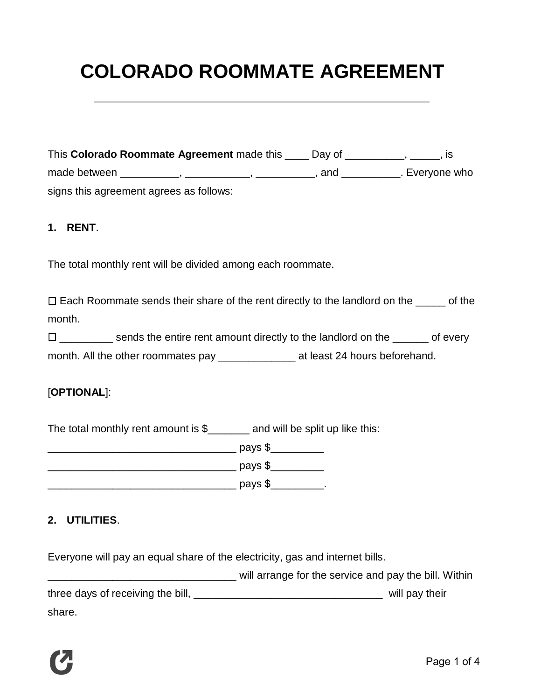# **COLORADO ROOMMATE AGREEMENT**

| This Colorado Roommate Agreement made this | Day of |                |
|--------------------------------------------|--------|----------------|
| made between                               | and    | . Everyone who |
| signs this agreement agrees as follows:    |        |                |

#### **1. RENT**.

The total monthly rent will be divided among each roommate.

 $\Box$  Each Roommate sends their share of the rent directly to the landlord on the  $\Box$  of the month.

⬜ \_\_\_\_\_\_\_\_\_ sends the entire rent amount directly to the landlord on the \_\_\_\_\_\_ of every month. All the other roommates pay \_\_\_\_\_\_\_\_\_\_\_\_\_\_\_\_\_ at least 24 hours beforehand.

## [**OPTIONAL**]:

The total monthly rent amount is \$\_\_\_\_\_\_\_ and will be split up like this:

\_\_\_\_\_\_\_\_\_\_\_\_\_\_\_\_\_\_\_\_\_\_\_\_\_\_\_\_\_\_\_\_ pays \$\_\_\_\_\_\_\_\_\_ \_\_\_\_\_\_\_\_\_\_\_\_\_\_\_\_\_\_\_\_\_\_\_\_\_\_\_\_\_\_\_\_ pays \$\_\_\_\_\_\_\_\_\_

\_\_\_\_\_\_\_\_\_\_\_\_\_\_\_\_\_\_\_\_\_\_\_\_\_\_\_\_\_\_\_\_ pays \$\_\_\_\_\_\_\_\_\_.

## **2. UTILITIES**.

Everyone will pay an equal share of the electricity, gas and internet bills.

will arrange for the service and pay the bill. Within three days of receiving the bill, the same state of the state of the bill, the state of the state of the state of the state of the state of the state of the state of the state of the state of the state of the state of the share.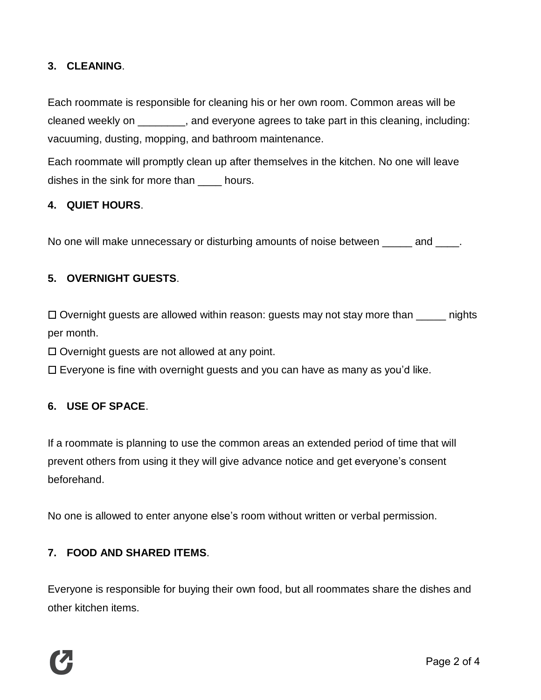# **3. CLEANING**.

Each roommate is responsible for cleaning his or her own room. Common areas will be cleaned weekly on \_\_\_\_\_\_\_\_, and everyone agrees to take part in this cleaning, including: vacuuming, dusting, mopping, and bathroom maintenance.

Each roommate will promptly clean up after themselves in the kitchen. No one will leave dishes in the sink for more than bours.

#### **4. QUIET HOURS**.

No one will make unnecessary or disturbing amounts of noise between \_\_\_\_\_ and \_\_\_\_.

## **5. OVERNIGHT GUESTS**.

 $\Box$  Overnight guests are allowed within reason: guests may not stay more than  $\Box$  nights per month.

 $\Box$  Overnight guests are not allowed at any point.

 $\Box$  Everyone is fine with overnight guests and you can have as many as you'd like.

#### **6. USE OF SPACE**.

If a roommate is planning to use the common areas an extended period of time that will prevent others from using it they will give advance notice and get everyone's consent beforehand.

No one is allowed to enter anyone else's room without written or verbal permission.

## **7. FOOD AND SHARED ITEMS**.

Everyone is responsible for buying their own food, but all roommates share the dishes and other kitchen items.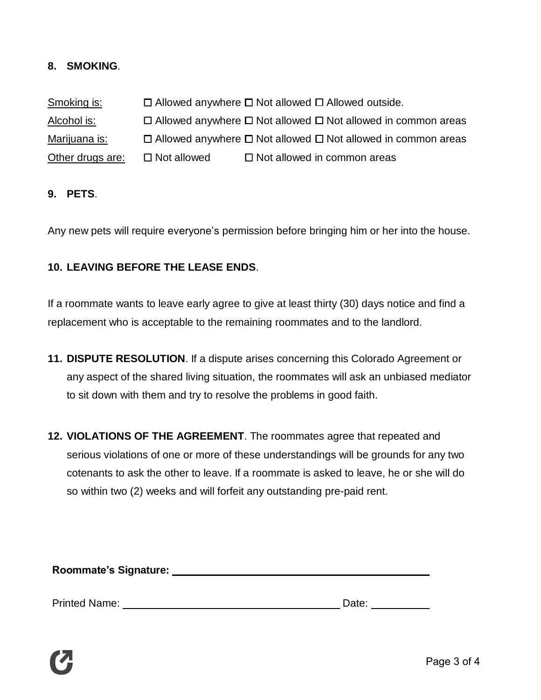## **8. SMOKING**.

Smoking is:  $\Box$  Allowed anywhere  $\Box$  Not allowed  $\Box$  Allowed outside. Alcohol is:  $\Box$  Allowed anywhere  $\Box$  Not allowed  $\Box$  Not allowed in common areas Marijuana is:  $\Box$  Allowed anywhere  $\Box$  Not allowed  $\Box$  Not allowed in common areas Other drugs are:  $\Box$  Not allowed  $\Box$  Not allowed in common areas

#### **9. PETS**.

Any new pets will require everyone's permission before bringing him or her into the house.

## **10. LEAVING BEFORE THE LEASE ENDS**.

If a roommate wants to leave early agree to give at least thirty (30) days notice and find a replacement who is acceptable to the remaining roommates and to the landlord.

- **11. DISPUTE RESOLUTION**. If a dispute arises concerning this Colorado Agreement or any aspect of the shared living situation, the roommates will ask an unbiased mediator to sit down with them and try to resolve the problems in good faith.
- **12. VIOLATIONS OF THE AGREEMENT**. The roommates agree that repeated and serious violations of one or more of these understandings will be grounds for any two cotenants to ask the other to leave. If a roommate is asked to leave, he or she will do so within two (2) weeks and will forfeit any outstanding pre-paid rent.

**Roommate's Signature:**

Printed Name: Name: Name and Date: Date: Date: Date: Date: Date: Date: Date: Date: Date: Date:  $\Box$